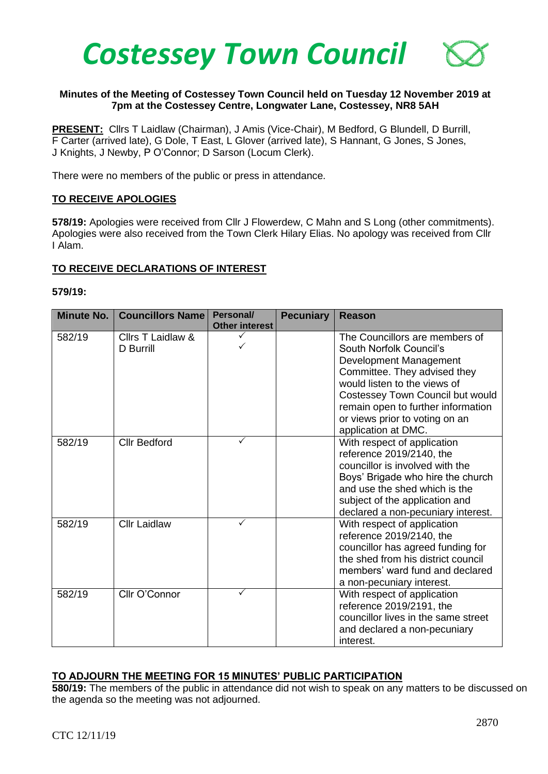

# **Minutes of the Meeting of Costessey Town Council held on Tuesday 12 November 2019 at 7pm at the Costessey Centre, Longwater Lane, Costessey, NR8 5AH**

**PRESENT:** Cllrs T Laidlaw (Chairman), J Amis (Vice-Chair), M Bedford, G Blundell, D Burrill, F Carter (arrived late), G Dole, T East, L Glover (arrived late), S Hannant, G Jones, S Jones, J Knights, J Newby, P O'Connor; D Sarson (Locum Clerk).

There were no members of the public or press in attendance.

### **TO RECEIVE APOLOGIES**

**578/19:** Apologies were received from Cllr J Flowerdew, C Mahn and S Long (other commitments). Apologies were also received from the Town Clerk Hilary Elias. No apology was received from Cllr I Alam.

### **TO RECEIVE DECLARATIONS OF INTEREST**

#### **579/19:**

| <b>Minute No.</b> | <b>Councillors Name</b>        | Personal/<br><b>Other interest</b> | <b>Pecuniary</b> | <b>Reason</b>                                                                                                                                                                                                                                                                          |
|-------------------|--------------------------------|------------------------------------|------------------|----------------------------------------------------------------------------------------------------------------------------------------------------------------------------------------------------------------------------------------------------------------------------------------|
| 582/19            | Cllrs T Laidlaw &<br>D Burrill |                                    |                  | The Councillors are members of<br>South Norfolk Council's<br>Development Management<br>Committee. They advised they<br>would listen to the views of<br>Costessey Town Council but would<br>remain open to further information<br>or views prior to voting on an<br>application at DMC. |
| 582/19            | <b>Cllr Bedford</b>            |                                    |                  | With respect of application<br>reference 2019/2140, the<br>councillor is involved with the<br>Boys' Brigade who hire the church<br>and use the shed which is the<br>subject of the application and<br>declared a non-pecuniary interest.                                               |
| 582/19            | <b>Cllr Laidlaw</b>            | ✓                                  |                  | With respect of application<br>reference 2019/2140, the<br>councillor has agreed funding for<br>the shed from his district council<br>members' ward fund and declared<br>a non-pecuniary interest.                                                                                     |
| 582/19            | Cllr O'Connor                  | ✓                                  |                  | With respect of application<br>reference 2019/2191, the<br>councillor lives in the same street<br>and declared a non-pecuniary<br>interest.                                                                                                                                            |

# **TO ADJOURN THE MEETING FOR 15 MINUTES' PUBLIC PARTICIPATION**

**580/19:** The members of the public in attendance did not wish to speak on any matters to be discussed on the agenda so the meeting was not adjourned.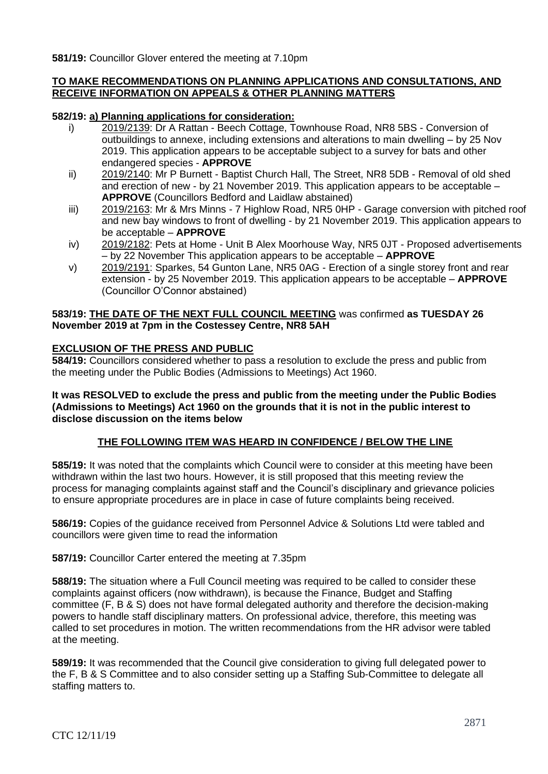**581/19:** Councillor Glover entered the meeting at 7.10pm

# **TO MAKE RECOMMENDATIONS ON PLANNING APPLICATIONS AND CONSULTATIONS, AND RECEIVE INFORMATION ON APPEALS & OTHER PLANNING MATTERS**

## **582/19: a) Planning applications for consideration:**

- i) 2019/2139: Dr A Rattan Beech Cottage, Townhouse Road, NR8 5BS Conversion of outbuildings to annexe, including extensions and alterations to main dwelling – by 25 Nov 2019. This application appears to be acceptable subject to a survey for bats and other endangered species - **APPROVE**
- ii) 2019/2140: Mr P Burnett Baptist Church Hall, The Street, NR8 5DB Removal of old shed and erection of new - by 21 November 2019. This application appears to be acceptable – **APPROVE** (Councillors Bedford and Laidlaw abstained)
- iii) 2019/2163: Mr & Mrs Minns 7 Highlow Road, NR5 0HP Garage conversion with pitched roof and new bay windows to front of dwelling - by 21 November 2019. This application appears to be acceptable – **APPROVE**
- iv) 2019/2182: Pets at Home Unit B Alex Moorhouse Way, NR5 0JT Proposed advertisements – by 22 November This application appears to be acceptable – **APPROVE**
- v) 2019/2191: Sparkes, 54 Gunton Lane, NR5 0AG Erection of a single storey front and rear extension - by 25 November 2019. This application appears to be acceptable – **APPROVE** (Councillor O'Connor abstained)

### **583/19: THE DATE OF THE NEXT FULL COUNCIL MEETING** was confirmed **as TUESDAY 26 November 2019 at 7pm in the Costessey Centre, NR8 5AH**

# **EXCLUSION OF THE PRESS AND PUBLIC**

**584/19:** Councillors considered whether to pass a resolution to exclude the press and public from the meeting under the Public Bodies (Admissions to Meetings) Act 1960.

**It was RESOLVED to exclude the press and public from the meeting under the Public Bodies (Admissions to Meetings) Act 1960 on the grounds that it is not in the public interest to disclose discussion on the items below**

# **THE FOLLOWING ITEM WAS HEARD IN CONFIDENCE / BELOW THE LINE**

**585/19:** It was noted that the complaints which Council were to consider at this meeting have been withdrawn within the last two hours. However, it is still proposed that this meeting review the process for managing complaints against staff and the Council's disciplinary and grievance policies to ensure appropriate procedures are in place in case of future complaints being received.

**586/19:** Copies of the guidance received from Personnel Advice & Solutions Ltd were tabled and councillors were given time to read the information

**587/19:** Councillor Carter entered the meeting at 7.35pm

**588/19:** The situation where a Full Council meeting was required to be called to consider these complaints against officers (now withdrawn), is because the Finance, Budget and Staffing committee (F, B & S) does not have formal delegated authority and therefore the decision-making powers to handle staff disciplinary matters. On professional advice, therefore, this meeting was called to set procedures in motion. The written recommendations from the HR advisor were tabled at the meeting.

**589/19:** It was recommended that the Council give consideration to giving full delegated power to the F, B & S Committee and to also consider setting up a Staffing Sub-Committee to delegate all staffing matters to.